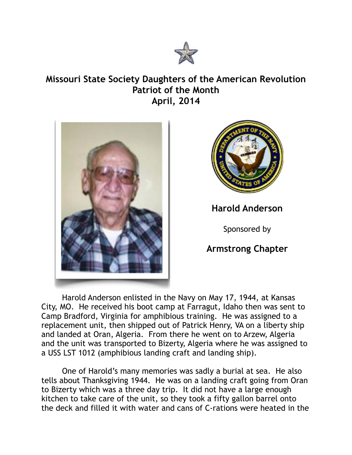

## **Missouri State Society Daughters of the American Revolution Patriot of the Month April, 2014**





## **Harold Anderson**

Sponsored by

## **Armstrong Chapter**

Harold Anderson enlisted in the Navy on May 17, 1944, at Kansas City, MO. He received his boot camp at Farragut, Idaho then was sent to Camp Bradford, Virginia for amphibious training. He was assigned to a replacement unit, then shipped out of Patrick Henry, VA on a liberty ship and landed at Oran, Algeria. From there he went on to Arzew, Algeria and the unit was transported to Bizerty, Algeria where he was assigned to a USS LST 1012 (amphibious landing craft and landing ship).

 One of Harold's many memories was sadly a burial at sea. He also tells about Thanksgiving 1944. He was on a landing craft going from Oran to Bizerty which was a three day trip. It did not have a large enough kitchen to take care of the unit, so they took a fifty gallon barrel onto the deck and filled it with water and cans of C-rations were heated in the